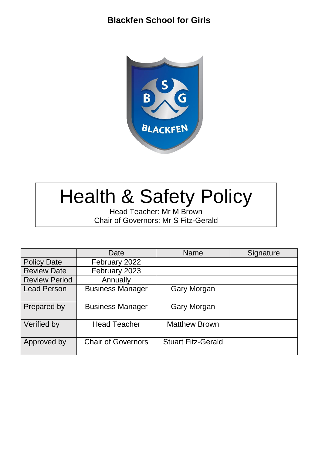

# Health & Safety Policy

Head Teacher: Mr M Brown Chair of Governors: Mr S Fitz-Gerald

|                      | Date                      | <b>Name</b>               | Signature |
|----------------------|---------------------------|---------------------------|-----------|
| <b>Policy Date</b>   | February 2022             |                           |           |
| <b>Review Date</b>   | February 2023             |                           |           |
| <b>Review Period</b> | Annually                  |                           |           |
| <b>Lead Person</b>   | <b>Business Manager</b>   | <b>Gary Morgan</b>        |           |
| Prepared by          | <b>Business Manager</b>   | <b>Gary Morgan</b>        |           |
| Verified by          | <b>Head Teacher</b>       | <b>Matthew Brown</b>      |           |
| Approved by          | <b>Chair of Governors</b> | <b>Stuart Fitz-Gerald</b> |           |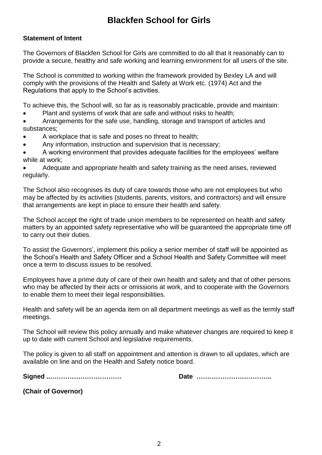#### **Statement of Intent**

The Governors of Blackfen School for Girls are committed to do all that it reasonably can to provide a secure, healthy and safe working and learning environment for all users of the site.

The School is committed to working within the framework provided by Bexley LA and will comply with the provisions of the Health and Safety at Work etc. (1974) Act and the Regulations that apply to the School's activities.

To achieve this, the School will, so far as is reasonably practicable, provide and maintain:

- Plant and systems of work that are safe and without risks to health;
- Arrangements for the safe use, handling, storage and transport of articles and substances;
- A workplace that is safe and poses no threat to health;
- Any information, instruction and supervision that is necessary;
- A working environment that provides adequate facilities for the employees' welfare while at work;

 Adequate and appropriate health and safety training as the need arises, reviewed regularly.

The School also recognises its duty of care towards those who are not employees but who may be affected by its activities (students, parents, visitors, and contractors) and will ensure that arrangements are kept in place to ensure their health and safety.

The School accept the right of trade union members to be represented on health and safety matters by an appointed safety representative who will be guaranteed the appropriate time off to carry out their duties.

To assist the Governors', implement this policy a senior member of staff will be appointed as the School's Health and Safety Officer and a School Health and Safety Committee will meet once a term to discuss issues to be resolved.

Employees have a prime duty of care of their own health and safety and that of other persons who may be affected by their acts or omissions at work, and to cooperate with the Governors to enable them to meet their legal responsibilities.

Health and safety will be an agenda item on all department meetings as well as the termly staff meetings.

The School will review this policy annually and make whatever changes are required to keep it up to date with current School and legislative requirements.

The policy is given to all staff on appointment and attention is drawn to all updates, which are available on line and on the Health and Safety notice board.

**Signed ..…………………………… Date ……………………………..**

**(Chair of Governor)**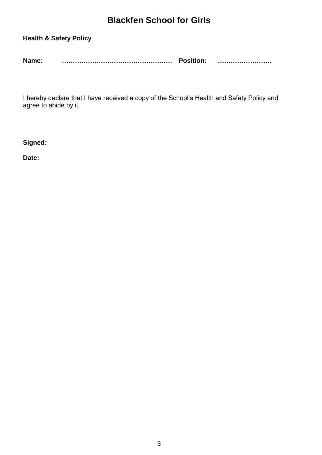#### **Health & Safety Policy**

| Name: | <b>Position:</b> |  |
|-------|------------------|--|
|       |                  |  |

I hereby declare that I have received a copy of the School's Health and Safety Policy and agree to abide by it.

**Signed:**

**Date:**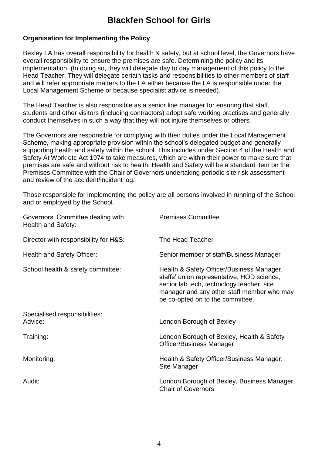#### **Organisation for Implementing the Policy**

Bexley LA has overall responsibility for health & safety, but at school level, the Governors have overall responsibility to ensure the premises are safe. Determining the policy and its implementation. (In doing so, they will delegate day to day management of this policy to the Head Teacher. They will delegate certain tasks and responsibilities to other members of staff and will refer appropriate matters to the LA either because the LA is responsible under the Local Management Scheme or because specialist advice is needed).

The Head Teacher is also responsible as a senior line manager for ensuring that staff, students and other visitors (including contractors) adopt safe working practises and generally conduct themselves in such a way that they will not injure themselves or others.

The Governors are responsible for complying with their duties under the Local Management Scheme, making appropriate provision within the school's delegated budget and generally supporting health and safety within the school. This includes under Section 4 of the Health and Safety At Work etc Act 1974 to take measures, which are within their power to make sure that premises are safe and without risk to health. Health and Safety will be a standard item on the Premises Committee with the Chair of Governors undertaking periodic site risk assessment and review of the accident/incident log.

Those responsible for implementing the policy are all persons involved in running of the School and or employed by the School.

| Governors' Committee dealing with<br><b>Health and Safety:</b> | <b>Premises Committee</b>                                                                                                                                                                                              |
|----------------------------------------------------------------|------------------------------------------------------------------------------------------------------------------------------------------------------------------------------------------------------------------------|
| Director with responsibility for H&S:                          | The Head Teacher                                                                                                                                                                                                       |
| Health and Safety Officer:                                     | Senior member of staff/Business Manager                                                                                                                                                                                |
| School health & safety committee:                              | Health & Safety Officer/Business Manager,<br>staffs' union representative, HOD science,<br>senior lab tech, technology teacher, site<br>manager and any other staff member who may<br>be co-opted on to the committee. |
| Specialised responsibilities:<br>Advice:                       | London Borough of Bexley                                                                                                                                                                                               |
| Training:                                                      | London Borough of Bexley, Health & Safety<br><b>Officer/Business Manager</b>                                                                                                                                           |
| Monitoring:                                                    | Health & Safety Officer/Business Manager,<br>Site Manager                                                                                                                                                              |
| Audit:                                                         | London Borough of Bexley, Business Manager,<br><b>Chair of Governors</b>                                                                                                                                               |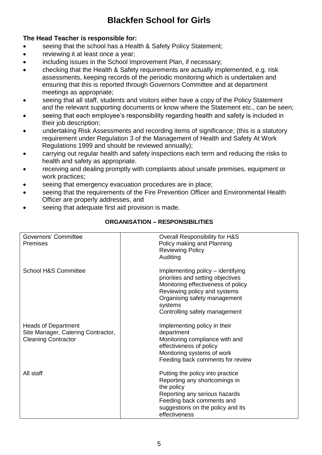#### **The Head Teacher is responsible for:**

- seeing that the school has a Health & Safety Policy Statement;
- reviewing it at least once a year;
- including issues in the School Improvement Plan, if necessary;
- checking that the Health & Safety requirements are actually implemented, e.g. risk assessments, keeping records of the periodic monitoring which is undertaken and ensuring that this is reported through Governors Committee and at department meetings as appropriate;
- seeing that all staff, students and visitors either have a copy of the Policy Statement and the relevant supporting documents or know where the Statement etc., can be seen;
- seeing that each employee's responsibility regarding health and safety is included in their job description;
- undertaking Risk Assessments and recording items of significance; (this is a statutory requirement under Regulation 3 of the Management of Health and Safety At Work Regulations 1999 and should be reviewed annually);
- carrying out regular health and safety inspections each term and reducing the risks to health and safety as appropriate.
- receiving and dealing promptly with complaints about unsafe premises, equipment or work practices;
- seeing that emergency evacuation procedures are in place;
- seeing that the requirements of the Fire Prevention Officer and Environmental Health Officer are properly addresses, and
- seeing that adequate first aid provision is made.

| Governors' Committee<br><b>Premises</b>                                                        | Overall Responsibility for H&S<br>Policy making and Planning<br><b>Reviewing Policy</b><br>Auditing                                                                                                                      |
|------------------------------------------------------------------------------------------------|--------------------------------------------------------------------------------------------------------------------------------------------------------------------------------------------------------------------------|
| <b>School H&amp;S Committee</b>                                                                | Implementing policy – identifying<br>priorities and setting objectives<br>Monitoring effectiveness of policy<br>Reviewing policy and systems<br>Organising safety management<br>systems<br>Controlling safety management |
| <b>Heads of Department</b><br>Site Manager, Catering Contractor,<br><b>Cleaning Contractor</b> | Implementing policy in their<br>department<br>Monitoring compliance with and<br>effectiveness of policy<br>Monitoring systems of work<br>Feeding back comments for review                                                |
| All staff                                                                                      | Putting the policy into practice<br>Reporting any shortcomings in<br>the policy<br>Reporting any serious hazards<br>Feeding back comments and<br>suggestions on the policy and its<br>effectiveness                      |

#### **ORGANISATION – RESPONSIBILITIES**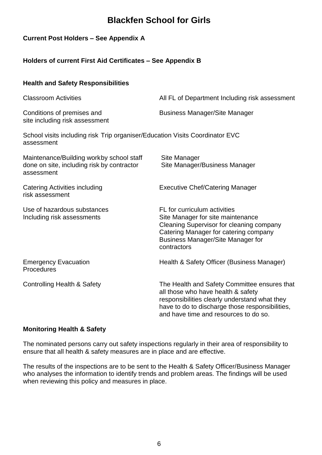#### **Current Post Holders – See Appendix A**

**Health and Safety Responsibilities**

#### **Holders of current First Aid Certificates – See Appendix B**

| <b>Classroom Activities</b>                                                                          | All FL of Department Including risk assessment                                                                                                                                                                                  |
|------------------------------------------------------------------------------------------------------|---------------------------------------------------------------------------------------------------------------------------------------------------------------------------------------------------------------------------------|
| Conditions of premises and<br>site including risk assessment                                         | <b>Business Manager/Site Manager</b>                                                                                                                                                                                            |
| School visits including risk Trip organiser/Education Visits Coordinator EVC<br>assessment           |                                                                                                                                                                                                                                 |
| Maintenance/Building workby school staff<br>done on site, including risk by contractor<br>assessment | Site Manager<br>Site Manager/Business Manager                                                                                                                                                                                   |
| <b>Catering Activities including</b><br>risk assessment                                              | <b>Executive Chef/Catering Manager</b>                                                                                                                                                                                          |
| Use of hazardous substances<br>Including risk assessments                                            | FL for curriculum activities<br>Site Manager for site maintenance<br>Cleaning Supervisor for cleaning company<br>Catering Manager for catering company<br><b>Business Manager/Site Manager for</b><br>contractors               |
| <b>Emergency Evacuation</b><br>Procedures                                                            | Health & Safety Officer (Business Manager)                                                                                                                                                                                      |
| Controlling Health & Safety                                                                          | The Health and Safety Committee ensures that<br>all those who have health & safety<br>responsibilities clearly understand what they<br>have to do to discharge those responsibilities,<br>and have time and resources to do so. |

#### **Monitoring Health & Safety**

The nominated persons carry out safety inspections regularly in their area of responsibility to ensure that all health & safety measures are in place and are effective.

The results of the inspections are to be sent to the Health & Safety Officer/Business Manager who analyses the information to identify trends and problem areas. The findings will be used when reviewing this policy and measures in place.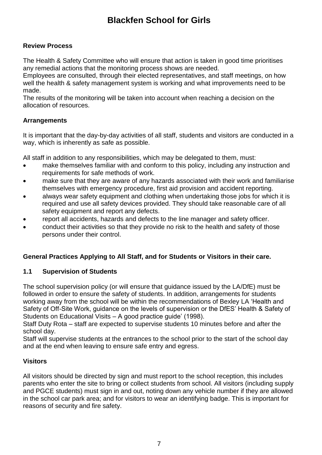#### **Review Process**

The Health & Safety Committee who will ensure that action is taken in good time prioritises any remedial actions that the monitoring process shows are needed.

Employees are consulted, through their elected representatives, and staff meetings, on how well the health & safety management system is working and what improvements need to be made.

The results of the monitoring will be taken into account when reaching a decision on the allocation of resources.

#### **Arrangements**

It is important that the day-by-day activities of all staff, students and visitors are conducted in a way, which is inherently as safe as possible.

All staff in addition to any responsibilities, which may be delegated to them, must:

- make themselves familiar with and conform to this policy, including any instruction and requirements for safe methods of work.
- make sure that they are aware of any hazards associated with their work and familiarise themselves with emergency procedure, first aid provision and accident reporting.
- always wear safety equipment and clothing when undertaking those jobs for which it is required and use all safety devices provided. They should take reasonable care of all safety equipment and report any defects.
- report all accidents, hazards and defects to the line manager and safety officer.
- conduct their activities so that they provide no risk to the health and safety of those persons under their control.

#### **General Practices Applying to All Staff, and for Students or Visitors in their care.**

#### **1.1 Supervision of Students**

The school supervision policy (or will ensure that guidance issued by the LA/DfE) must be followed in order to ensure the safety of students. In addition, arrangements for students working away from the school will be within the recommendations of Bexley LA 'Health and Safety of Off-Site Work, guidance on the levels of supervision or the DfES' Health & Safety of Students on Educational Visits – A good practice guide' (1998).

Staff Duty Rota – staff are expected to supervise students 10 minutes before and after the school day.

Staff will supervise students at the entrances to the school prior to the start of the school day and at the end when leaving to ensure safe entry and egress.

#### **Visitors**

All visitors should be directed by sign and must report to the school reception, this includes parents who enter the site to bring or collect students from school. All visitors (including supply and PGCE students) must sign in and out, noting down any vehicle number if they are allowed in the school car park area; and for visitors to wear an identifying badge. This is important for reasons of security and fire safety.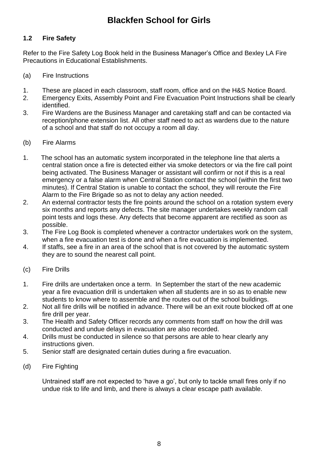#### **1.2 Fire Safety**

Refer to the Fire Safety Log Book held in the Business Manager's Office and Bexley LA Fire Precautions in Educational Establishments.

- (a) Fire Instructions
- 1. These are placed in each classroom, staff room, office and on the H&S Notice Board.
- 2. Emergency Exits, Assembly Point and Fire Evacuation Point Instructions shall be clearly identified.
- 3. Fire Wardens are the Business Manager and caretaking staff and can be contacted via reception/phone extension list. All other staff need to act as wardens due to the nature of a school and that staff do not occupy a room all day.
- (b) Fire Alarms
- 1. The school has an automatic system incorporated in the telephone line that alerts a central station once a fire is detected either via smoke detectors or via the fire call point being activated. The Business Manager or assistant will confirm or not if this is a real emergency or a false alarm when Central Station contact the school (within the first two minutes). If Central Station is unable to contact the school, they will reroute the Fire Alarm to the Fire Brigade so as not to delay any action needed.
- 2. An external contractor tests the fire points around the school on a rotation system every six months and reports any defects. The site manager undertakes weekly random call point tests and logs these. Any defects that become apparent are rectified as soon as possible.
- 3. The Fire Log Book is completed whenever a contractor undertakes work on the system, when a fire evacuation test is done and when a fire evacuation is implemented.
- 4. If staffs, see a fire in an area of the school that is not covered by the automatic system they are to sound the nearest call point.
- (c) Fire Drills
- 1. Fire drills are undertaken once a term. In September the start of the new academic year a fire evacuation drill is undertaken when all students are in so as to enable new students to know where to assemble and the routes out of the school buildings.
- 2. Not all fire drills will be notified in advance. There will be an exit route blocked off at one fire drill per year.
- 3. The Health and Safety Officer records any comments from staff on how the drill was conducted and undue delays in evacuation are also recorded.
- 4. Drills must be conducted in silence so that persons are able to hear clearly any instructions given.
- 5. Senior staff are designated certain duties during a fire evacuation.
- (d) Fire Fighting

Untrained staff are not expected to 'have a go', but only to tackle small fires only if no undue risk to life and limb, and there is always a clear escape path available.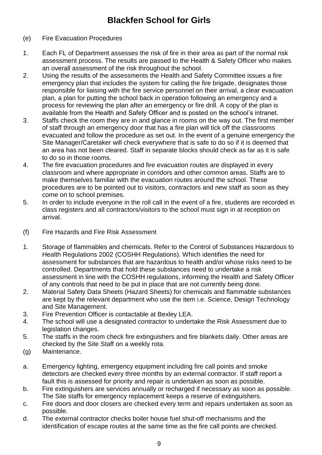#### (e) Fire Evacuation Procedures

- 1. Each FL of Department assesses the risk of fire in their area as part of the normal risk assessment process. The results are passed to the Health & Safety Officer who makes an overall assessment of the risk throughout the school.
- 2. Using the results of the assessments the Health and Safety Committee issues a fire emergency plan that includes the system for calling the fire brigade, designates those responsible for liaising with the fire service personnel on their arrival, a clear evacuation plan, a plan for putting the school back in operation following an emergency and a process for reviewing the plan after an emergency or fire drill. A copy of the plan is available from the Health and Safety Officer and is posted on the school's intranet.
- 3. Staffs check the room they are in and glance in rooms on the way out. The first member of staff through an emergency door that has a fire plan will tick off the classrooms evacuated and follow the procedure as set out. In the event of a genuine emergency the Site Manager/Caretaker will check everywhere that is safe to do so if it is deemed that an area has not been cleared. Staff in separate blocks should check as far as it is safe to do so in those rooms.
- 4. The fire evacuation procedures and fire evacuation routes are displayed in every classroom and where appropriate in corridors and other common areas. Staffs are to make themselves familiar with the evacuation routes around the school. These procedures are to be pointed out to visitors, contractors and new staff as soon as they come on to school premises.
- 5. In order to include everyone in the roll call in the event of a fire, students are recorded in class registers and all contractors/visitors to the school must sign in at reception on arrival.
- (f) Fire Hazards and Fire Risk Assessment
- 1. Storage of flammables and chemicals. Refer to the Control of Substances Hazardous to Health Regulations 2002 (COSHH Regulations). Which identifies the need for assessment for substances that are hazardous to health and/or whose risks need to be controlled. Departments that hold these substances need to undertake a risk assessment in line with the COSHH regulations, informing the Health and Safety Officer of any controls that need to be put in place that are not currently being done.
- 2. Material Safety Data Sheets (Hazard Sheets) for chemicals and flammable substances are kept by the relevant department who use the item i.e. Science, Design Technology and Site Management.
- 3. Fire Prevention Officer is contactable at Bexley LEA.
- 4. The school will use a designated contractor to undertake the Risk Assessment due to legislation changes.
- 5. The staffs in the room check fire extinguishers and fire blankets daily. Other areas are checked by the Site Staff on a weekly rota.
- (g) Maintenance.
- a. Emergency lighting, emergency equipment including fire call points and smoke detectors are checked every three months by an external contractor. If staff report a fault this is assessed for priority and repair is undertaken as soon as possible.
- b. Fire extinguishers are services annually or recharged if necessary as soon as possible. The Site staffs for emergency replacement keeps a reserve of extinguishers.
- c. Fire doors and door closers are checked every term and repairs undertaken as soon as possible.
- d. The external contractor checks boiler house fuel shut-off mechanisms and the identification of escape routes at the same time as the fire call points are checked.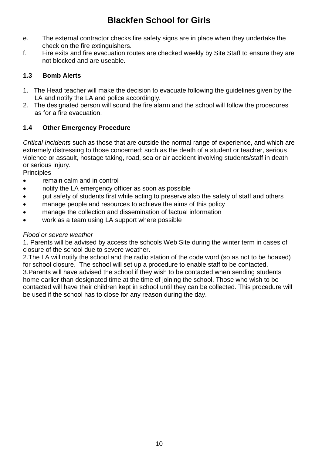- e. The external contractor checks fire safety signs are in place when they undertake the check on the fire extinguishers.
- f. Fire exits and fire evacuation routes are checked weekly by Site Staff to ensure they are not blocked and are useable.

#### **1.3 Bomb Alerts**

- 1. The Head teacher will make the decision to evacuate following the guidelines given by the LA and notify the LA and police accordingly.
- 2. The designated person will sound the fire alarm and the school will follow the procedures as for a fire evacuation.

#### **1.4 Other Emergency Procedure**

*Critical Incidents* such as those that are outside the normal range of experience, and which are extremely distressing to those concerned; such as the death of a student or teacher, serious violence or assault, hostage taking, road, sea or air accident involving students/staff in death or serious injury.

**Principles** 

- remain calm and in control
- notify the LA emergency officer as soon as possible
- put safety of students first while acting to preserve also the safety of staff and others
- manage people and resources to achieve the aims of this policy
- manage the collection and dissemination of factual information
- work as a team using LA support where possible

#### *Flood or severe weather*

1. Parents will be advised by access the schools Web Site during the winter term in cases of closure of the school due to severe weather.

2.The LA will notify the school and the radio station of the code word (so as not to be hoaxed) for school closure. The school will set up a procedure to enable staff to be contacted. 3.Parents will have advised the school if they wish to be contacted when sending students home earlier than designated time at the time of joining the school. Those who wish to be contacted will have their children kept in school until they can be collected. This procedure will be used if the school has to close for any reason during the day.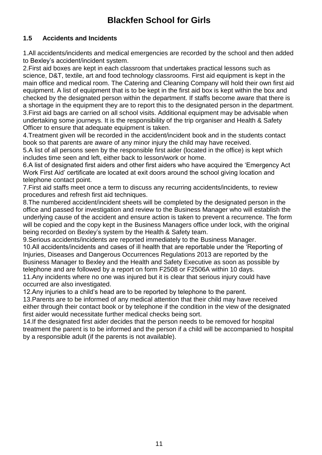#### **1.5 Accidents and Incidents**

1.All accidents/incidents and medical emergencies are recorded by the school and then added to Bexley's accident/incident system.

2.First aid boxes are kept in each classroom that undertakes practical lessons such as science, D&T, textile, art and food technology classrooms. First aid equipment is kept in the main office and medical room. The Catering and Cleaning Company will hold their own first aid equipment. A list of equipment that is to be kept in the first aid box is kept within the box and checked by the designated person within the department. If staffs become aware that there is a shortage in the equipment they are to report this to the designated person in the department. 3.First aid bags are carried on all school visits. Additional equipment may be advisable when undertaking some journeys. It is the responsibility of the trip organiser and Health & Safety Officer to ensure that adequate equipment is taken.

4.Treatment given will be recorded in the accident/incident book and in the students contact book so that parents are aware of any minor injury the child may have received.

5.A list of all persons seen by the responsible first aider (located in the office) is kept which includes time seen and left, either back to lesson/work or home.

6.A list of designated first aiders and other first aiders who have acquired the 'Emergency Act Work First Aid' certificate are located at exit doors around the school giving location and telephone contact point.

7.First aid staffs meet once a term to discuss any recurring accidents/incidents, to review procedures and refresh first aid techniques.

8.The numbered accident/incident sheets will be completed by the designated person in the office and passed for investigation and review to the Business Manager who will establish the underlying cause of the accident and ensure action is taken to prevent a recurrence. The form will be copied and the copy kept in the Business Managers office under lock, with the original being recorded on Bexley's system by the Health & Safety team.

9.Serious accidents/incidents are reported immediately to the Business Manager.

10.All accidents/incidents and cases of ill health that are reportable under the 'Reporting of Injuries, Diseases and Dangerous Occurrences Regulations 2013 are reported by the Business Manager to Bexley and the Health and Safety Executive as soon as possible by telephone and are followed by a report on form F2508 or F2506A within 10 days.

11.Any incidents where no one was injured but it is clear that serious injury could have occurred are also investigated.

12.Any injuries to a child's head are to be reported by telephone to the parent.

13.Parents are to be informed of any medical attention that their child may have received either through their contact book or by telephone if the condition in the view of the designated first aider would necessitate further medical checks being sort.

14.If the designated first aider decides that the person needs to be removed for hospital treatment the parent is to be informed and the person if a child will be accompanied to hospital by a responsible adult (if the parents is not available).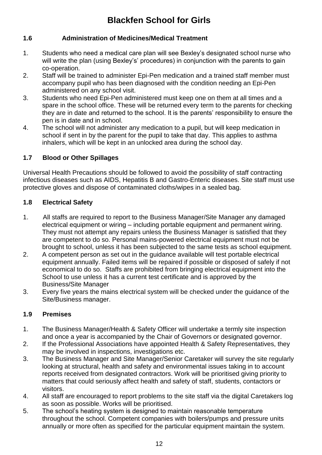#### **1.6 Administration of Medicines/Medical Treatment**

- 1. Students who need a medical care plan will see Bexley's designated school nurse who will write the plan (using Bexley's' procedures) in conjunction with the parents to gain co-operation.
- 2. Staff will be trained to administer Epi-Pen medication and a trained staff member must accompany pupil who has been diagnosed with the condition needing an Epi-Pen administered on any school visit.
- 3. Students who need Epi-Pen administered must keep one on them at all times and a spare in the school office. These will be returned every term to the parents for checking they are in date and returned to the school. It is the parents' responsibility to ensure the pen is in date and in school.
- 4. The school will not administer any medication to a pupil, but will keep medication in school if sent in by the parent for the pupil to take that day. This applies to asthma inhalers, which will be kept in an unlocked area during the school day.

#### **1.7 Blood or Other Spillages**

Universal Health Precautions should be followed to avoid the possibility of staff contracting infectious diseases such as AIDS, Hepatitis B and Gastro-Enteric diseases. Site staff must use protective gloves and dispose of contaminated cloths/wipes in a sealed bag.

#### **1.8 Electrical Safety**

- 1. All staffs are required to report to the Business Manager/Site Manager any damaged electrical equipment or wiring – including portable equipment and permanent wiring. They must not attempt any repairs unless the Business Manager is satisfied that they are competent to do so. Personal mains-powered electrical equipment must not be brought to school, unless it has been subjected to the same tests as school equipment.
- 2. A competent person as set out in the guidance available will test portable electrical equipment annually. Failed items will be repaired if possible or disposed of safely if not economical to do so. Staffs are prohibited from bringing electrical equipment into the School to use unless it has a current test certificate and is approved by the Business/Site Manager
- 3. Every five years the mains electrical system will be checked under the guidance of the Site/Business manager.

#### **1.9 Premises**

- 1. The Business Manager/Health & Safety Officer will undertake a termly site inspection and once a year is accompanied by the Chair of Governors or designated governor.
- 2. If the Professional Associations have appointed Health & Safety Representatives, they may be involved in inspections, investigations etc.
- 3. The Business Manager and Site Manager/Senior Caretaker will survey the site regularly looking at structural, health and safety and environmental issues taking in to account reports received from designated contractors. Work will be prioritised giving priority to matters that could seriously affect health and safety of staff, students, contactors or visitors.
- 4. All staff are encouraged to report problems to the site staff via the digital Caretakers log as soon as possible. Works will be prioritised.
- 5. The school's heating system is designed to maintain reasonable temperature throughout the school. Competent companies with boilers/pumps and pressure units annually or more often as specified for the particular equipment maintain the system.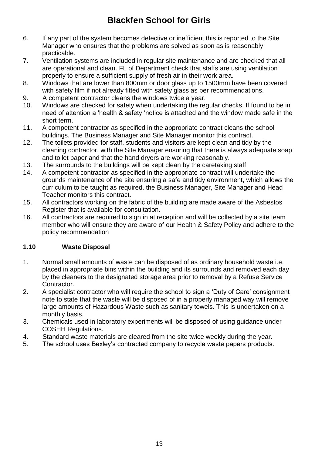- 6. If any part of the system becomes defective or inefficient this is reported to the Site Manager who ensures that the problems are solved as soon as is reasonably practicable.
- 7. Ventilation systems are included in regular site maintenance and are checked that all are operational and clean. FL of Department check that staffs are using ventilation properly to ensure a sufficient supply of fresh air in their work area.
- 8. Windows that are lower than 800mm or door glass up to 1500mm have been covered with safety film if not already fitted with safety glass as per recommendations.
- 9. A competent contractor cleans the windows twice a year.
- 10. Windows are checked for safety when undertaking the regular checks. If found to be in need of attention a 'health & safety 'notice is attached and the window made safe in the short term.
- 11. A competent contractor as specified in the appropriate contract cleans the school buildings. The Business Manager and Site Manager monitor this contract.
- 12. The toilets provided for staff, students and visitors are kept clean and tidy by the cleaning contractor, with the Site Manager ensuring that there is always adequate soap and toilet paper and that the hand dryers are working reasonably.
- 13. The surrounds to the buildings will be kept clean by the caretaking staff.
- 14. A competent contractor as specified in the appropriate contract will undertake the grounds maintenance of the site ensuring a safe and tidy environment, which allows the curriculum to be taught as required. the Business Manager, Site Manager and Head Teacher monitors this contract.
- 15. All contractors working on the fabric of the building are made aware of the Asbestos Register that is available for consultation.
- 16. All contractors are required to sign in at reception and will be collected by a site team member who will ensure they are aware of our Health & Safety Policy and adhere to the policy recommendation

#### **1.10 Waste Disposal**

- 1. Normal small amounts of waste can be disposed of as ordinary household waste i.e. placed in appropriate bins within the building and its surrounds and removed each day by the cleaners to the designated storage area prior to removal by a Refuse Service Contractor.
- 2. A specialist contractor who will require the school to sign a 'Duty of Care' consignment note to state that the waste will be disposed of in a properly managed way will remove large amounts of Hazardous Waste such as sanitary towels. This is undertaken on a monthly basis.
- 3. Chemicals used in laboratory experiments will be disposed of using guidance under COSHH Regulations.
- 4. Standard waste materials are cleared from the site twice weekly during the year.
- 5. The school uses Bexley's contracted company to recycle waste papers products.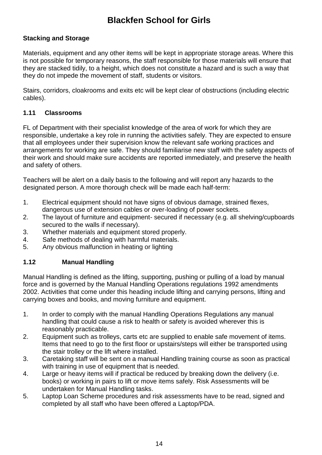#### **Stacking and Storage**

Materials, equipment and any other items will be kept in appropriate storage areas. Where this is not possible for temporary reasons, the staff responsible for those materials will ensure that they are stacked tidily, to a height, which does not constitute a hazard and is such a way that they do not impede the movement of staff, students or visitors.

Stairs, corridors, cloakrooms and exits etc will be kept clear of obstructions (including electric cables).

#### **1.11 Classrooms**

FL of Department with their specialist knowledge of the area of work for which they are responsible, undertake a key role in running the activities safely. They are expected to ensure that all employees under their supervision know the relevant safe working practices and arrangements for working are safe. They should familiarise new staff with the safety aspects of their work and should make sure accidents are reported immediately, and preserve the health and safety of others.

Teachers will be alert on a daily basis to the following and will report any hazards to the designated person. A more thorough check will be made each half-term:

- 1. Electrical equipment should not have signs of obvious damage, strained flexes, dangerous use of extension cables or over-loading of power sockets.
- 2. The layout of furniture and equipment- secured if necessary (e.g. all shelving/cupboards secured to the walls if necessary).
- 3. Whether materials and equipment stored properly.
- 4. Safe methods of dealing with harmful materials.
- 5. Any obvious malfunction in heating or lighting

#### **1.12 Manual Handling**

Manual Handling is defined as the lifting, supporting, pushing or pulling of a load by manual force and is governed by the Manual Handling Operations regulations 1992 amendments 2002. Activities that come under this heading include lifting and carrying persons, lifting and carrying boxes and books, and moving furniture and equipment.

- 1. In order to comply with the manual Handling Operations Regulations any manual handling that could cause a risk to health or safety is avoided wherever this is reasonably practicable.
- 2. Equipment such as trolleys, carts etc are supplied to enable safe movement of items. Items that need to go to the first floor or upstairs/steps will either be transported using the stair trolley or the lift where installed.
- 3. Caretaking staff will be sent on a manual Handling training course as soon as practical with training in use of equipment that is needed.
- 4. Large or heavy items will if practical be reduced by breaking down the delivery (i.e. books) or working in pairs to lift or move items safely. Risk Assessments will be undertaken for Manual Handling tasks.
- 5. Laptop Loan Scheme procedures and risk assessments have to be read, signed and completed by all staff who have been offered a Laptop/PDA.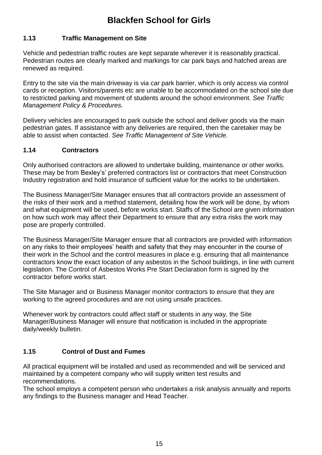#### **1.13 Traffic Management on Site**

Vehicle and pedestrian traffic routes are kept separate wherever it is reasonably practical. Pedestrian routes are clearly marked and markings for car park bays and hatched areas are renewed as required.

Entry to the site via the main driveway is via car park barrier, which is only access via control cards or reception. Visitors/parents etc are unable to be accommodated on the school site due to restricted parking and movement of students around the school environment. *See Traffic Management Policy & Procedures.*

Delivery vehicles are encouraged to park outside the school and deliver goods via the main pedestrian gates. If assistance with any deliveries are required, then the caretaker may be able to assist when contacted. *See Traffic Management of Site Vehicle.*

#### **1.14 Contractors**

Only authorised contractors are allowed to undertake building, maintenance or other works. These may be from Bexley's' preferred contractors list or contractors that meet Construction Industry registration and hold insurance of sufficient value for the works to be undertaken.

The Business Manager/Site Manager ensures that all contractors provide an assessment of the risks of their work and a method statement, detailing how the work will be done, by whom and what equipment will be used, before works start. Staffs of the School are given information on how such work may affect their Department to ensure that any extra risks the work may pose are properly controlled.

The Business Manager/Site Manager ensure that all contractors are provided with information on any risks to their employees' health and safety that they may encounter in the course of their work in the School and the control measures in place e.g. ensuring that all maintenance contractors know the exact location of any asbestos in the School buildings, in line with current legislation. The Control of Asbestos Works Pre Start Declaration form is signed by the contractor before works start.

The Site Manager and or Business Manager monitor contractors to ensure that they are working to the agreed procedures and are not using unsafe practices.

Whenever work by contractors could affect staff or students in any way, the Site Manager/Business Manager will ensure that notification is included in the appropriate daily/weekly bulletin.

#### **1.15 Control of Dust and Fumes**

All practical equipment will be installed and used as recommended and will be serviced and maintained by a competent company who will supply written test results and recommendations.

The school employs a competent person who undertakes a risk analysis annually and reports any findings to the Business manager and Head Teacher.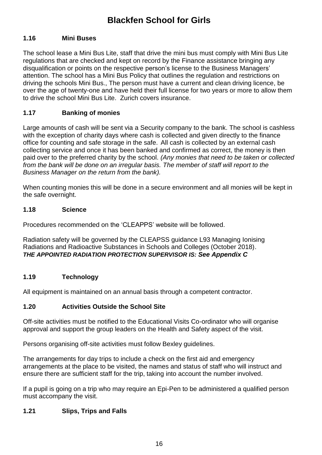#### **1.16 Mini Buses**

The school lease a Mini Bus Lite, staff that drive the mini bus must comply with Mini Bus Lite regulations that are checked and kept on record by the Finance assistance bringing any disqualification or points on the respective person's license to the Business Managers' attention. The school has a Mini Bus Policy that outlines the regulation and restrictions on driving the schools Mini Bus., The person must have a current and clean driving licence, be over the age of twenty-one and have held their full license for two years or more to allow them to drive the school Mini Bus Lite. Zurich covers insurance.

#### **1.17 Banking of monies**

Large amounts of cash will be sent via a Security company to the bank. The school is cashless with the exception of charity days where cash is collected and given directly to the finance office for counting and safe storage in the safe. All cash is collected by an external cash collecting service and once it has been banked and confirmed as correct, the money is then paid over to the preferred charity by the school. *(Any monies that need to be taken or collected from the bank will be done on an irregular basis. The member of staff will report to the Business Manager on the return from the bank).*

When counting monies this will be done in a secure environment and all monies will be kept in the safe overnight.

#### **1.18 Science**

Procedures recommended on the 'CLEAPPS' website will be followed.

Radiation safety will be governed by the CLEAPSS guidance L93 Managing Ionising Radiations and Radioactive Substances in Schools and Colleges (October 2018). *THE APPOINTED RADIATION PROTECTION SUPERVISOR IS: See Appendix C*

#### **1.19 Technology**

All equipment is maintained on an annual basis through a competent contractor.

#### **1.20 Activities Outside the School Site**

Off-site activities must be notified to the Educational Visits Co-ordinator who will organise approval and support the group leaders on the Health and Safety aspect of the visit.

Persons organising off-site activities must follow Bexley guidelines.

The arrangements for day trips to include a check on the first aid and emergency arrangements at the place to be visited, the names and status of staff who will instruct and ensure there are sufficient staff for the trip, taking into account the number involved.

If a pupil is going on a trip who may require an Epi-Pen to be administered a qualified person must accompany the visit.

#### **1.21 Slips, Trips and Falls**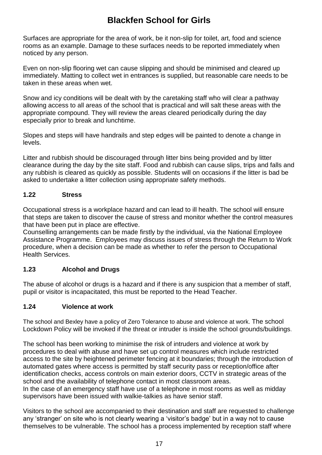Surfaces are appropriate for the area of work, be it non-slip for toilet, art, food and science rooms as an example. Damage to these surfaces needs to be reported immediately when noticed by any person.

Even on non-slip flooring wet can cause slipping and should be minimised and cleared up immediately. Matting to collect wet in entrances is supplied, but reasonable care needs to be taken in these areas when wet.

Snow and icy conditions will be dealt with by the caretaking staff who will clear a pathway allowing access to all areas of the school that is practical and will salt these areas with the appropriate compound. They will review the areas cleared periodically during the day especially prior to break and lunchtime.

Slopes and steps will have handrails and step edges will be painted to denote a change in levels.

Litter and rubbish should be discouraged through litter bins being provided and by litter clearance during the day by the site staff. Food and rubbish can cause slips, trips and falls and any rubbish is cleared as quickly as possible. Students will on occasions if the litter is bad be asked to undertake a litter collection using appropriate safety methods.

#### **1.22 Stress**

Occupational stress is a workplace hazard and can lead to ill health. The school will ensure that steps are taken to discover the cause of stress and monitor whether the control measures that have been put in place are effective.

Counselling arrangements can be made firstly by the individual, via the National Employee Assistance Programme. Employees may discuss issues of stress through the Return to Work procedure, when a decision can be made as whether to refer the person to Occupational Health Services.

#### **1.23 Alcohol and Drugs**

The abuse of alcohol or drugs is a hazard and if there is any suspicion that a member of staff, pupil or visitor is incapacitated, this must be reported to the Head Teacher.

#### **1.24 Violence at work**

The school and Bexley have a policy of Zero Tolerance to abuse and violence at work. The school Lockdown Policy will be invoked if the threat or intruder is inside the school grounds/buildings.

The school has been working to minimise the risk of intruders and violence at work by procedures to deal with abuse and have set up control measures which include restricted access to the site by heightened perimeter fencing at it boundaries; through the introduction of automated gates where access is permitted by staff security pass or reception/office after identification checks, access controls on main exterior doors, CCTV in strategic areas of the school and the availability of telephone contact in most classroom areas. In the case of an emergency staff have use of a telephone in most rooms as well as midday supervisors have been issued with walkie-talkies as have senior staff.

Visitors to the school are accompanied to their destination and staff are requested to challenge any 'stranger' on site who is not clearly wearing a 'visitor's badge' but in a way not to cause themselves to be vulnerable. The school has a process implemented by reception staff where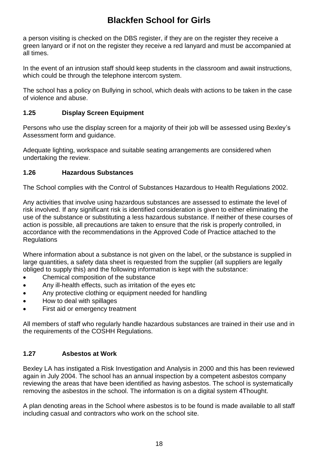a person visiting is checked on the DBS register, if they are on the register they receive a green lanyard or if not on the register they receive a red lanyard and must be accompanied at all times.

In the event of an intrusion staff should keep students in the classroom and await instructions, which could be through the telephone intercom system.

The school has a policy on Bullying in school, which deals with actions to be taken in the case of violence and abuse.

#### **1.25 Display Screen Equipment**

Persons who use the display screen for a majority of their job will be assessed using Bexley's Assessment form and guidance.

Adequate lighting, workspace and suitable seating arrangements are considered when undertaking the review.

#### **1.26 Hazardous Substances**

The School complies with the Control of Substances Hazardous to Health Regulations 2002.

Any activities that involve using hazardous substances are assessed to estimate the level of risk involved. If any significant risk is identified consideration is given to either eliminating the use of the substance or substituting a less hazardous substance. If neither of these courses of action is possible, all precautions are taken to ensure that the risk is properly controlled, in accordance with the recommendations in the Approved Code of Practice attached to the **Regulations** 

Where information about a substance is not given on the label, or the substance is supplied in large quantities, a safety data sheet is requested from the supplier (all suppliers are legally obliged to supply this) and the following information is kept with the substance:

- Chemical composition of the substance
- Any ill-health effects, such as irritation of the eyes etc
- Any protective clothing or equipment needed for handling
- How to deal with spillages
- First aid or emergency treatment

All members of staff who regularly handle hazardous substances are trained in their use and in the requirements of the COSHH Regulations.

#### **1.27 Asbestos at Work**

Bexley LA has instigated a Risk Investigation and Analysis in 2000 and this has been reviewed again in July 2004. The school has an annual inspection by a competent asbestos company reviewing the areas that have been identified as having asbestos. The school is systematically removing the asbestos in the school. The information is on a digital system 4Thought.

A plan denoting areas in the School where asbestos is to be found is made available to all staff including casual and contractors who work on the school site.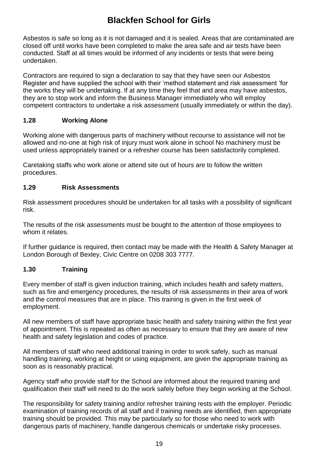Asbestos is safe so long as it is not damaged and it is sealed. Areas that are contaminated are closed off until works have been completed to make the area safe and air tests have been conducted. Staff at all times would be informed of any incidents or tests that were being undertaken.

Contractors are required to sign a declaration to say that they have seen our Asbestos Register and have supplied the school with their 'method statement and risk assessment 'for the works they will be undertaking. If at any time they feel that and area may have asbestos, they are to stop work and inform the Business Manager immediately who will employ competent contractors to undertake a risk assessment (usually immediately or within the day).

#### **1.28 Working Alone**

Working alone with dangerous parts of machinery without recourse to assistance will not be allowed and no-one at high risk of injury must work alone in school No machinery must be used unless appropriately trained or a refresher course has been satisfactorily completed.

Caretaking staffs who work alone or attend site out of hours are to follow the written procedures.

#### **1.29 Risk Assessments**

Risk assessment procedures should be undertaken for all tasks with a possibility of significant risk.

The results of the risk assessments must be bought to the attention of those employees to whom it relates.

If further guidance is required, then contact may be made with the Health & Safety Manager at London Borough of Bexley, Civic Centre on 0208 303 7777.

#### **1.30 Training**

Every member of staff is given induction training, which includes health and safety matters, such as fire and emergency procedures, the results of risk assessments in their area of work and the control measures that are in place. This training is given in the first week of employment.

All new members of staff have appropriate basic health and safety training within the first year of appointment. This is repeated as often as necessary to ensure that they are aware of new health and safety legislation and codes of practice.

All members of staff who need additional training in order to work safely, such as manual handling training, working at height or using equipment, are given the appropriate training as soon as is reasonably practical.

Agency staff who provide staff for the School are informed about the required training and qualification their staff will need to do the work safely before they begin working at the School.

The responsibility for safety training and/or refresher training rests with the employer. Periodic examination of training records of all staff and if training needs are identified, then appropriate training should be provided. This may be particularly so for those who need to work with dangerous parts of machinery, handle dangerous chemicals or undertake risky processes.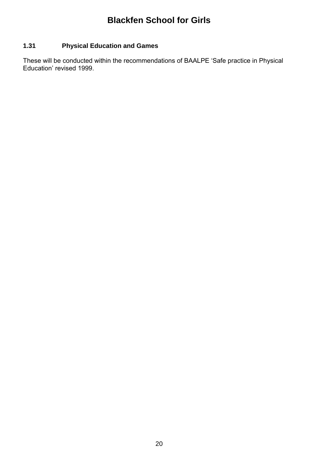#### **1.31 Physical Education and Games**

These will be conducted within the recommendations of BAALPE 'Safe practice in Physical Education' revised 1999.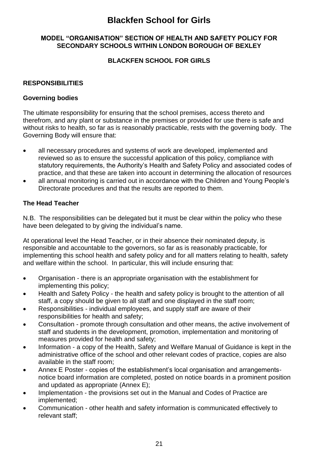#### **MODEL "ORGANISATION" SECTION OF HEALTH AND SAFETY POLICY FOR SECONDARY SCHOOLS WITHIN LONDON BOROUGH OF BEXLEY**

#### **BLACKFEN SCHOOL FOR GIRLS**

#### **RESPONSIBILITIES**

#### **Governing bodies**

The ultimate responsibility for ensuring that the school premises, access thereto and therefrom, and any plant or substance in the premises or provided for use there is safe and without risks to health, so far as is reasonably practicable, rests with the governing body. The Governing Body will ensure that:

- all necessary procedures and systems of work are developed, implemented and reviewed so as to ensure the successful application of this policy, compliance with statutory requirements, the Authority's Health and Safety Policy and associated codes of practice, and that these are taken into account in determining the allocation of resources
- all annual monitoring is carried out in accordance with the Children and Young People's Directorate procedures and that the results are reported to them.

#### **The Head Teacher**

N.B. The responsibilities can be delegated but it must be clear within the policy who these have been delegated to by giving the individual's name.

At operational level the Head Teacher, or in their absence their nominated deputy, is responsible and accountable to the governors, so far as is reasonably practicable, for implementing this school health and safety policy and for all matters relating to health, safety and welfare within the school. In particular, this will include ensuring that:

- Organisation there is an appropriate organisation with the establishment for implementing this policy;
- Health and Safety Policy the health and safety policy is brought to the attention of all staff, a copy should be given to all staff and one displayed in the staff room;
- Responsibilities individual employees, and supply staff are aware of their responsibilities for health and safety;
- Consultation promote through consultation and other means, the active involvement of staff and students in the development, promotion, implementation and monitoring of measures provided for health and safety;
- Information a copy of the Health, Safety and Welfare Manual of Guidance is kept in the administrative office of the school and other relevant codes of practice, copies are also available in the staff room;
- Annex E Poster copies of the establishment's local organisation and arrangementsnotice board information are completed, posted on notice boards in a prominent position and updated as appropriate (Annex E);
- Implementation the provisions set out in the Manual and Codes of Practice are implemented;
- Communication other health and safety information is communicated effectively to relevant staff;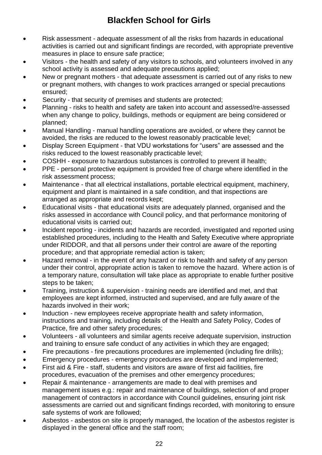- Risk assessment adequate assessment of all the risks from hazards in educational activities is carried out and significant findings are recorded, with appropriate preventive measures in place to ensure safe practice;
- Visitors the health and safety of any visitors to schools, and volunteers involved in any school activity is assessed and adequate precautions applied;
- New or pregnant mothers that adequate assessment is carried out of any risks to new or pregnant mothers, with changes to work practices arranged or special precautions ensured;
- Security that security of premises and students are protected;
- Planning risks to health and safety are taken into account and assessed/re-assessed when any change to policy, buildings, methods or equipment are being considered or planned;
- Manual Handling manual handling operations are avoided, or where they cannot be avoided, the risks are reduced to the lowest reasonably practicable level;
- Display Screen Equipment that VDU workstations for "users" are assessed and the risks reduced to the lowest reasonably practicable level;
- COSHH exposure to hazardous substances is controlled to prevent ill health;
- PPE personal protective equipment is provided free of charge where identified in the risk assessment process;
- Maintenance that all electrical installations, portable electrical equipment, machinery, equipment and plant is maintained in a safe condition, and that inspections are arranged as appropriate and records kept;
- Educational visits that educational visits are adequately planned, organised and the risks assessed in accordance with Council policy, and that performance monitoring of educational visits is carried out;
- Incident reporting incidents and hazards are recorded, investigated and reported using established procedures, including to the Health and Safety Executive where appropriate under RIDDOR, and that all persons under their control are aware of the reporting procedure; and that appropriate remedial action is taken;
- Hazard removal in the event of any hazard or risk to health and safety of any person under their control, appropriate action is taken to remove the hazard. Where action is of a temporary nature, consultation will take place as appropriate to enable further positive steps to be taken;
- Training, instruction & supervision training needs are identified and met, and that employees are kept informed, instructed and supervised, and are fully aware of the hazards involved in their work;
- Induction new employees receive appropriate health and safety information, instructions and training, including details of the Health and Safety Policy, Codes of Practice, fire and other safety procedures;
- Volunteers all volunteers and similar agents receive adequate supervision, instruction and training to ensure safe conduct of any activities in which they are engaged;
- Fire precautions fire precautions procedures are implemented (including fire drills);
- Emergency procedures emergency procedures are developed and implemented;
- First aid & Fire staff, students and visitors are aware of first aid facilities, fire procedures, evacuation of the premises and other emergency procedures;
- Repair & maintenance arrangements are made to deal with premises and management issues e.g.: repair and maintenance of buildings, selection of and proper management of contractors in accordance with Council guidelines, ensuring joint risk assessments are carried out and significant findings recorded, with monitoring to ensure safe systems of work are followed;
- Asbestos asbestos on site is properly managed, the location of the asbestos register is displayed in the general office and the staff room;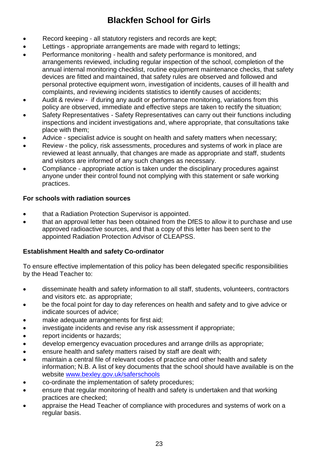- Record keeping all statutory registers and records are kept;
- Lettings appropriate arrangements are made with regard to lettings;
- Performance monitoring health and safety performance is monitored, and arrangements reviewed, including regular inspection of the school, completion of the annual internal monitoring checklist, routine equipment maintenance checks, that safety devices are fitted and maintained, that safety rules are observed and followed and personal protective equipment worn, investigation of incidents, causes of ill health and complaints, and reviewing incidents statistics to identify causes of accidents;
- Audit & review if during any audit or performance monitoring, variations from this policy are observed, immediate and effective steps are taken to rectify the situation;
- Safety Representatives Safety Representatives can carry out their functions including inspections and incident investigations and, where appropriate, that consultations take place with them;
- Advice specialist advice is sought on health and safety matters when necessary;
- Review the policy, risk assessments, procedures and systems of work in place are reviewed at least annually, that changes are made as appropriate and staff, students and visitors are informed of any such changes as necessary.
- Compliance appropriate action is taken under the disciplinary procedures against anyone under their control found not complying with this statement or safe working practices.

#### **For schools with radiation sources**

- that a Radiation Protection Supervisor is appointed.
- that an approval letter has been obtained from the DfES to allow it to purchase and use approved radioactive sources, and that a copy of this letter has been sent to the appointed Radiation Protection Advisor of CLEAPSS.

#### **Establishment Health and safety Co-ordinator**

To ensure effective implementation of this policy has been delegated specific responsibilities by the Head Teacher to:

- disseminate health and safety information to all staff, students, volunteers, contractors and visitors etc. as appropriate;
- be the focal point for day to day references on health and safety and to give advice or indicate sources of advice;
- make adequate arrangements for first aid;
- investigate incidents and revise any risk assessment if appropriate;
- report incidents or hazards;
- develop emergency evacuation procedures and arrange drills as appropriate;
- ensure health and safety matters raised by staff are dealt with;
- maintain a central file of relevant codes of practice and other health and safety information; N.B. A list of key documents that the school should have available is on the website [www.bexley.gov.uk/saferschools](http://www.bexley.gov.uk/saferschools)
- co-ordinate the implementation of safety procedures;
- ensure that regular monitoring of health and safety is undertaken and that working practices are checked;
- appraise the Head Teacher of compliance with procedures and systems of work on a regular basis.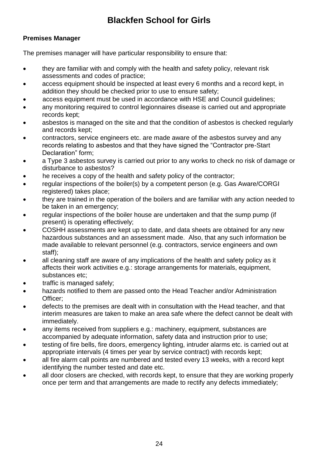#### **Premises Manager**

The premises manager will have particular responsibility to ensure that:

- they are familiar with and comply with the health and safety policy, relevant risk assessments and codes of practice;
- access equipment should be inspected at least every 6 months and a record kept, in addition they should be checked prior to use to ensure safety;
- access equipment must be used in accordance with HSE and Council guidelines;
- any monitoring required to control legionnaires disease is carried out and appropriate records kept;
- asbestos is managed on the site and that the condition of asbestos is checked regularly and records kept;
- contractors, service engineers etc. are made aware of the asbestos survey and any records relating to asbestos and that they have signed the "Contractor pre-Start Declaration" form;
- a Type 3 asbestos survey is carried out prior to any works to check no risk of damage or disturbance to asbestos?
- he receives a copy of the health and safety policy of the contractor;
- regular inspections of the boiler(s) by a competent person (e.g. Gas Aware/CORGI registered) takes place;
- they are trained in the operation of the boilers and are familiar with any action needed to be taken in an emergency;
- regular inspections of the boiler house are undertaken and that the sump pump (if present) is operating effectively;
- COSHH assessments are kept up to date, and data sheets are obtained for any new hazardous substances and an assessment made. Also, that any such information be made available to relevant personnel (e.g. contractors, service engineers and own staff);
- all cleaning staff are aware of any implications of the health and safety policy as it affects their work activities e.g.: storage arrangements for materials, equipment, substances etc;
- traffic is managed safely;
- hazards notified to them are passed onto the Head Teacher and/or Administration Officer;
- defects to the premises are dealt with in consultation with the Head teacher, and that interim measures are taken to make an area safe where the defect cannot be dealt with immediately.
- any items received from suppliers e.g.: machinery, equipment, substances are accompanied by adequate information, safety data and instruction prior to use;
- testing of fire bells, fire doors, emergency lighting, intruder alarms etc. is carried out at appropriate intervals (4 times per year by service contract) with records kept;
- all fire alarm call points are numbered and tested every 13 weeks, with a record kept identifying the number tested and date etc.
- all door closers are checked, with records kept, to ensure that they are working properly once per term and that arrangements are made to rectify any defects immediately;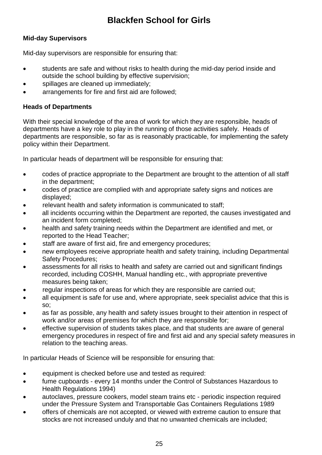#### **Mid-day Supervisors**

Mid-day supervisors are responsible for ensuring that:

- students are safe and without risks to health during the mid-day period inside and outside the school building by effective supervision;
- spillages are cleaned up immediately;
- arrangements for fire and first aid are followed;

#### **Heads of Departments**

With their special knowledge of the area of work for which they are responsible, heads of departments have a key role to play in the running of those activities safely. Heads of departments are responsible, so far as is reasonably practicable, for implementing the safety policy within their Department.

In particular heads of department will be responsible for ensuring that:

- codes of practice appropriate to the Department are brought to the attention of all staff in the department;
- codes of practice are complied with and appropriate safety signs and notices are displayed;
- relevant health and safety information is communicated to staff;
- all incidents occurring within the Department are reported, the causes investigated and an incident form completed;
- health and safety training needs within the Department are identified and met, or reported to the Head Teacher;
- staff are aware of first aid, fire and emergency procedures;
- new employees receive appropriate health and safety training, including Departmental Safety Procedures;
- assessments for all risks to health and safety are carried out and significant findings recorded, including COSHH, Manual handling etc., with appropriate preventive measures being taken;
- regular inspections of areas for which they are responsible are carried out;
- all equipment is safe for use and, where appropriate, seek specialist advice that this is so;
- as far as possible, any health and safety issues brought to their attention in respect of work and/or areas of premises for which they are responsible for;
- effective supervision of students takes place, and that students are aware of general emergency procedures in respect of fire and first aid and any special safety measures in relation to the teaching areas.

In particular Heads of Science will be responsible for ensuring that:

- equipment is checked before use and tested as required:
- fume cupboards every 14 months under the Control of Substances Hazardous to Health Regulations 1994)
- autoclaves, pressure cookers, model steam trains etc periodic inspection required under the Pressure System and Transportable Gas Containers Regulations 1989
- offers of chemicals are not accepted, or viewed with extreme caution to ensure that stocks are not increased unduly and that no unwanted chemicals are included;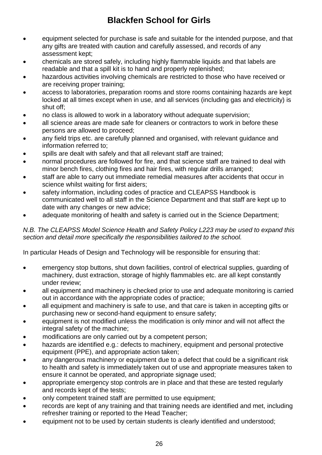- equipment selected for purchase is safe and suitable for the intended purpose, and that any gifts are treated with caution and carefully assessed, and records of any assessment kept;
- chemicals are stored safely, including highly flammable liquids and that labels are readable and that a spill kit is to hand and properly replenished;
- hazardous activities involving chemicals are restricted to those who have received or are receiving proper training;
- access to laboratories, preparation rooms and store rooms containing hazards are kept locked at all times except when in use, and all services (including gas and electricity) is shut off;
- no class is allowed to work in a laboratory without adequate supervision;
- all science areas are made safe for cleaners or contractors to work in before these persons are allowed to proceed;
- any field trips etc. are carefully planned and organised, with relevant guidance and information referred to;
- spills are dealt with safely and that all relevant staff are trained;
- normal procedures are followed for fire, and that science staff are trained to deal with minor bench fires, clothing fires and hair fires, with regular drills arranged;
- staff are able to carry out immediate remedial measures after accidents that occur in science whilst waiting for first aiders;
- safety information, including codes of practice and CLEAPSS Handbook is communicated well to all staff in the Science Department and that staff are kept up to date with any changes or new advice;
- adequate monitoring of health and safety is carried out in the Science Department;

#### *N.B. The CLEAPSS Model Science Health and Safety Policy L223 may be used to expand this section and detail more specifically the responsibilities tailored to the school.*

In particular Heads of Design and Technology will be responsible for ensuring that:

- emergency stop buttons, shut down facilities, control of electrical supplies, guarding of machinery, dust extraction, storage of highly flammables etc. are all kept constantly under review;
- all equipment and machinery is checked prior to use and adequate monitoring is carried out in accordance with the appropriate codes of practice;
- all equipment and machinery is safe to use, and that care is taken in accepting gifts or purchasing new or second-hand equipment to ensure safety;
- equipment is not modified unless the modification is only minor and will not affect the integral safety of the machine;
- modifications are only carried out by a competent person;
- hazards are identified e.g.: defects to machinery, equipment and personal protective equipment (PPE), and appropriate action taken;
- any dangerous machinery or equipment due to a defect that could be a significant risk to health and safety is immediately taken out of use and appropriate measures taken to ensure it cannot be operated, and appropriate signage used;
- appropriate emergency stop controls are in place and that these are tested regularly and records kept of the tests;
- only competent trained staff are permitted to use equipment;
- records are kept of any training and that training needs are identified and met, including refresher training or reported to the Head Teacher;
- equipment not to be used by certain students is clearly identified and understood;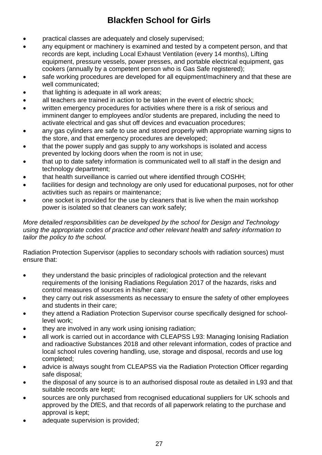- practical classes are adequately and closely supervised;
- any equipment or machinery is examined and tested by a competent person, and that records are kept, including Local Exhaust Ventilation (every 14 months), Lifting equipment, pressure vessels, power presses, and portable electrical equipment, gas cookers (annually by a competent person who is Gas Safe registered);
- safe working procedures are developed for all equipment/machinery and that these are well communicated;
- that lighting is adequate in all work areas;
- all teachers are trained in action to be taken in the event of electric shock;
- written emergency procedures for activities where there is a risk of serious and imminent danger to employees and/or students are prepared, including the need to activate electrical and gas shut off devices and evacuation procedures;
- any gas cylinders are safe to use and stored properly with appropriate warning signs to the store, and that emergency procedures are developed;
- that the power supply and gas supply to any workshops is isolated and access prevented by locking doors when the room is not in use;
- that up to date safety information is communicated well to all staff in the design and technology department;
- that health surveillance is carried out where identified through COSHH;
- facilities for design and technology are only used for educational purposes, not for other activities such as repairs or maintenance;
- one socket is provided for the use by cleaners that is live when the main workshop power is isolated so that cleaners can work safely;

#### *More detailed responsibilities can be developed by the school for Design and Technology using the appropriate codes of practice and other relevant health and safety information to tailor the policy to the school.*

Radiation Protection Supervisor (applies to secondary schools with radiation sources) must ensure that:

- they understand the basic principles of radiological protection and the relevant requirements of the Ionising Radiations Regulation 2017 of the hazards, risks and control measures of sources in his/her care;
- they carry out risk assessments as necessary to ensure the safety of other employees and students in their care;
- they attend a Radiation Protection Supervisor course specifically designed for schoollevel work;
- they are involved in any work using ionising radiation;
- all work is carried out in accordance with CLEAPSS L93: Managing Ionising Radiation and radioactive Substances 2018 and other relevant information, codes of practice and local school rules covering handling, use, storage and disposal, records and use log completed;
- advice is always sought from CLEAPSS via the Radiation Protection Officer regarding safe disposal;
- the disposal of any source is to an authorised disposal route as detailed in L93 and that suitable records are kept;
- sources are only purchased from recognised educational suppliers for UK schools and approved by the DfES, and that records of all paperwork relating to the purchase and approval is kept;
- adequate supervision is provided;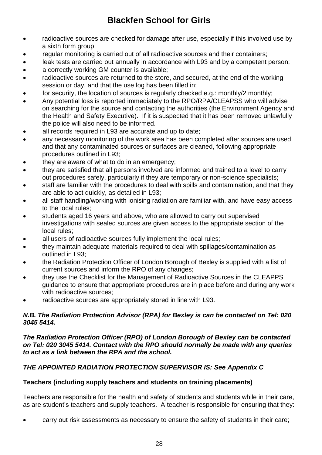- radioactive sources are checked for damage after use, especially if this involved use by a sixth form group;
- regular monitoring is carried out of all radioactive sources and their containers;
- leak tests are carried out annually in accordance with L93 and by a competent person;
- a correctly working GM counter is available;
- radioactive sources are returned to the store, and secured, at the end of the working session or day, and that the use log has been filled in;
- for security, the location of sources is regularly checked e.g.: monthly/2 monthly;
- Any potential loss is reported immediately to the RPO/RPA/CLEAPSS who will advise on searching for the source and contacting the authorities (the Environment Agency and the Health and Safety Executive). If it is suspected that it has been removed unlawfully the police will also need to be informed.
- all records required in L93 are accurate and up to date;
- any necessary monitoring of the work area has been completed after sources are used, and that any contaminated sources or surfaces are cleaned, following appropriate procedures outlined in L93;
- they are aware of what to do in an emergency;
- they are satisfied that all persons involved are informed and trained to a level to carry out procedures safely, particularly if they are temporary or non-science specialists;
- staff are familiar with the procedures to deal with spills and contamination, and that they are able to act quickly, as detailed in L93;
- all staff handling/working with ionising radiation are familiar with, and have easy access to the local rules;
- students aged 16 years and above, who are allowed to carry out supervised investigations with sealed sources are given access to the appropriate section of the local rules;
- all users of radioactive sources fully implement the local rules;
- they maintain adequate materials required to deal with spillages/contamination as outlined in L93;
- the Radiation Protection Officer of London Borough of Bexley is supplied with a list of current sources and inform the RPO of any changes;
- they use the Checklist for the Management of Radioactive Sources in the CLEAPPS guidance to ensure that appropriate procedures are in place before and during any work with radioactive sources;
- radioactive sources are appropriately stored in line with L93.

#### *N.B. The Radiation Protection Advisor (RPA) for Bexley is can be contacted on Tel: 020 3045 5414.*

#### *The Radiation Protection Officer (RPO) of London Borough of Bexley can be contacted on Tel: 020 3045 5414. Contact with the RPO should normally be made with any queries to act as a link between the RPA and the school.*

#### *THE APPOINTED RADIATION PROTECTION SUPERVISOR IS: See Appendix C*

#### **Teachers (including supply teachers and students on training placements)**

Teachers are responsible for the health and safety of students and students while in their care, as are student's teachers and supply teachers. A teacher is responsible for ensuring that they:

carry out risk assessments as necessary to ensure the safety of students in their care;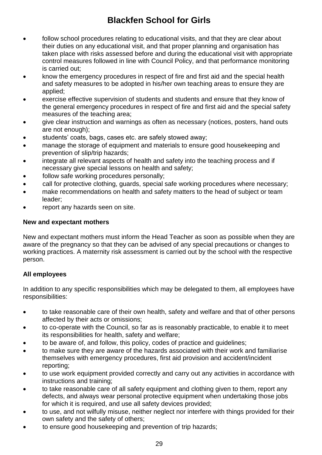- follow school procedures relating to educational visits, and that they are clear about their duties on any educational visit, and that proper planning and organisation has taken place with risks assessed before and during the educational visit with appropriate control measures followed in line with Council Policy, and that performance monitoring is carried out;
- know the emergency procedures in respect of fire and first aid and the special health and safety measures to be adopted in his/her own teaching areas to ensure they are applied;
- exercise effective supervision of students and students and ensure that they know of the general emergency procedures in respect of fire and first aid and the special safety measures of the teaching area;
- give clear instruction and warnings as often as necessary (notices, posters, hand outs are not enough);
- students' coats, bags, cases etc. are safely stowed away;
- manage the storage of equipment and materials to ensure good housekeeping and prevention of slip/trip hazards;
- integrate all relevant aspects of health and safety into the teaching process and if necessary give special lessons on health and safety;
- follow safe working procedures personally;
- call for protective clothing, guards, special safe working procedures where necessary;
- make recommendations on health and safety matters to the head of subject or team leader;
- report any hazards seen on site.

#### **New and expectant mothers**

New and expectant mothers must inform the Head Teacher as soon as possible when they are aware of the pregnancy so that they can be advised of any special precautions or changes to working practices. A maternity risk assessment is carried out by the school with the respective person.

#### **All employees**

In addition to any specific responsibilities which may be delegated to them, all employees have responsibilities:

- to take reasonable care of their own health, safety and welfare and that of other persons affected by their acts or omissions;
- to co-operate with the Council, so far as is reasonably practicable, to enable it to meet its responsibilities for health, safety and welfare;
- to be aware of, and follow, this policy, codes of practice and guidelines;
- to make sure they are aware of the hazards associated with their work and familiarise themselves with emergency procedures, first aid provision and accident/incident reporting;
- to use work equipment provided correctly and carry out any activities in accordance with instructions and training;
- to take reasonable care of all safety equipment and clothing given to them, report any defects, and always wear personal protective equipment when undertaking those jobs for which it is required, and use all safety devices provided;
- to use, and not wilfully misuse, neither neglect nor interfere with things provided for their own safety and the safety of others;
- to ensure good housekeeping and prevention of trip hazards;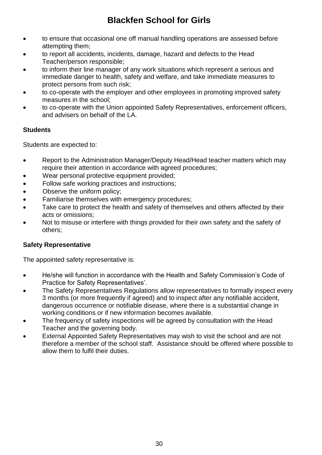- to ensure that occasional one off manual handling operations are assessed before attempting them;
- to report all accidents, incidents, damage, hazard and defects to the Head Teacher/person responsible;
- to inform their line manager of any work situations which represent a serious and immediate danger to health, safety and welfare, and take immediate measures to protect persons from such risk;
- to co-operate with the employer and other employees in promoting improved safety measures in the school;
- to co-operate with the Union appointed Safety Representatives, enforcement officers, and advisers on behalf of the LA.

#### **Students**

Students are expected to:

- Report to the Administration Manager/Deputy Head/Head teacher matters which may require their attention in accordance with agreed procedures;
- Wear personal protective equipment provided;
- Follow safe working practices and instructions:
- Observe the uniform policy;
- Familiarise themselves with emergency procedures:
- Take care to protect the health and safety of themselves and others affected by their acts or omissions;
- Not to misuse or interfere with things provided for their own safety and the safety of others;

#### **Safety Representative**

The appointed safety representative is:

- He/she will function in accordance with the Health and Safety Commission's Code of Practice for Safety Representatives'.
- The Safety Representatives Regulations allow representatives to formally inspect every 3 months (or more frequently if agreed) and to inspect after any notifiable accident, dangerous occurrence or notifiable disease, where there is a substantial change in working conditions or if new information becomes available.
- The frequency of safety inspections will be agreed by consultation with the Head Teacher and the governing body.
- External Appointed Safety Representatives may wish to visit the school and are not therefore a member of the school staff. Assistance should be offered where possible to allow them to fulfil their duties.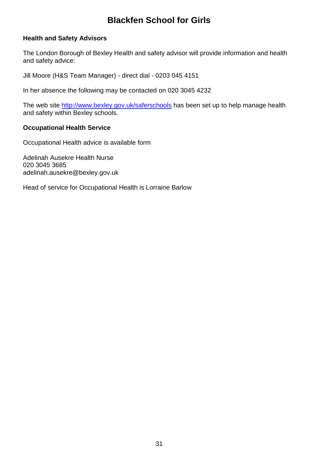#### **Health and Safety Advisors**

The London Borough of Bexley Health and safety advisor will provide information and health and safety advice:

Jill Moore (H&S Team Manager) - direct dial - [0203 045 4151](callto:+1203%20045%205642)

In her absence the following may be contacted on 020 3045 4232

The web site<http://www.bexley.gov.uk/saferschools> has been set up to help manage health and safety within Bexley schools.

#### **Occupational Health Service**

Occupational Health advice is available form

Adelinah Ausekre Health Nurse 020 3045 3685 adelinah.ausekre@bexley.gov.uk

Head of service for Occupational Health is Lorraine Barlow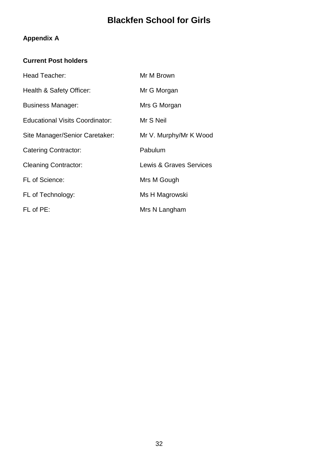### **Appendix A**

#### **Current Post holders**

| Head Teacher:                          | Mr M Brown                         |
|----------------------------------------|------------------------------------|
| Health & Safety Officer:               | Mr G Morgan                        |
| <b>Business Manager:</b>               | Mrs G Morgan                       |
| <b>Educational Visits Coordinator:</b> | Mr S Neil                          |
| Site Manager/Senior Caretaker:         | Mr V. Murphy/Mr K Wood             |
| <b>Catering Contractor:</b>            | Pabulum                            |
| <b>Cleaning Contractor:</b>            | <b>Lewis &amp; Graves Services</b> |
| <b>FL of Science:</b>                  | Mrs M Gough                        |
| FL of Technology:                      | Ms H Magrowski                     |
| FL of PE:                              | Mrs N Langham                      |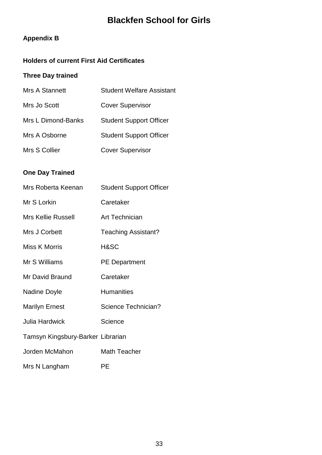#### **Appendix B**

#### **Holders of current First Aid Certificates**

#### **Three Day trained**

| Mrs A Stannett     | <b>Student Welfare Assistant</b> |
|--------------------|----------------------------------|
| Mrs Jo Scott       | <b>Cover Supervisor</b>          |
| Mrs L Dimond-Banks | <b>Student Support Officer</b>   |
| Mrs A Osborne      | <b>Student Support Officer</b>   |
| Mrs S Collier      | <b>Cover Supervisor</b>          |

#### **One Day Trained**

| Mrs Roberta Keenan                | <b>Student Support Officer</b> |
|-----------------------------------|--------------------------------|
| Mr S Lorkin                       | Caretaker                      |
| <b>Mrs Kellie Russell</b>         | Art Technician                 |
| Mrs J Corbett                     | <b>Teaching Assistant?</b>     |
| Miss K Morris                     | H&SC                           |
| Mr S Williams                     | <b>PE Department</b>           |
| Mr David Braund                   | Caretaker                      |
| Nadine Doyle                      | <b>Humanities</b>              |
| <b>Marilyn Ernest</b>             | Science Technician?            |
| <b>Julia Hardwick</b>             | Science                        |
| Tamsyn Kingsbury-Barker Librarian |                                |
| Jorden McMahon                    | <b>Math Teacher</b>            |
| Mrs N Langham                     | PЕ                             |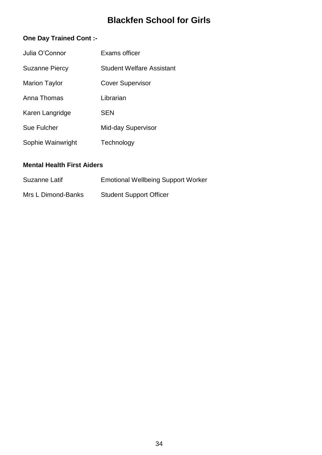#### **One Day Trained Cont :-**

| Julia O'Connor        | Exams officer             |
|-----------------------|---------------------------|
| <b>Suzanne Piercy</b> | Student Welfare Assistant |
| <b>Marion Taylor</b>  | <b>Cover Supervisor</b>   |
| Anna Thomas           | Librarian                 |
| Karen Langridge       | <b>SEN</b>                |
| Sue Fulcher           | Mid-day Supervisor        |
| Sophie Wainwright     | Technology                |

#### **Mental Health First Aiders**

| Suzanne Latif      | <b>Emotional Wellbeing Support Worker</b> |
|--------------------|-------------------------------------------|
| Mrs L Dimond-Banks | <b>Student Support Officer</b>            |